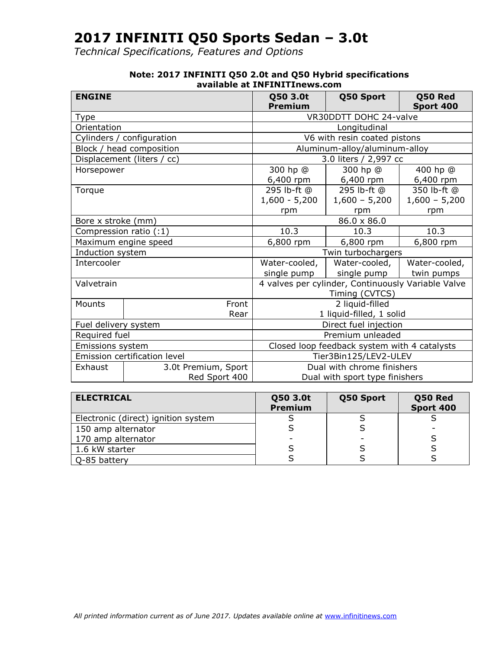*Technical Specifications, Features and Options*

| <b>ENGINE</b>                |                            | Q50 3.0t                                           | Q50 Sport                      | Q50 Red         |
|------------------------------|----------------------------|----------------------------------------------------|--------------------------------|-----------------|
|                              |                            | Premium<br>Sport 400                               |                                |                 |
| Type                         |                            |                                                    | VR30DDTT DOHC 24-valve         |                 |
| Orientation                  |                            |                                                    | Longitudinal                   |                 |
|                              | Cylinders / configuration  |                                                    | V6 with resin coated pistons   |                 |
|                              | Block / head composition   |                                                    | Aluminum-alloy/aluminum-alloy  |                 |
|                              | Displacement (liters / cc) |                                                    | 3.0 liters / 2,997 cc          |                 |
| Horsepower                   |                            | 300 hp @                                           | 300 hp @                       | 400 hp @        |
|                              |                            | 6,400 rpm                                          | 6,400 rpm                      | 6,400 rpm       |
| Torque                       |                            | 295 lb-ft @                                        | 295 lb-ft @                    | 350 lb-ft @     |
|                              |                            | $1,600 - 5,200$                                    | $1,600 - 5,200$                | $1,600 - 5,200$ |
|                              |                            | rpm                                                | rpm                            | rpm             |
| Bore x stroke (mm)           |                            | 86.0 x 86.0                                        |                                |                 |
| Compression ratio (:1)       |                            | 10.3                                               | 10.3                           | 10.3            |
|                              | Maximum engine speed       | 6,800 rpm                                          | 6,800 rpm                      | 6,800 rpm       |
| Induction system             |                            | Twin turbochargers                                 |                                |                 |
| Intercooler                  |                            | Water-cooled,                                      | Water-cooled,                  | Water-cooled,   |
|                              |                            | single pump                                        | single pump                    | twin pumps      |
| Valvetrain                   |                            | 4 valves per cylinder, Continuously Variable Valve |                                |                 |
|                              |                            | Timing (CVTCS)                                     |                                |                 |
| Mounts                       | Front                      |                                                    | 2 liquid-filled                |                 |
|                              | Rear                       |                                                    | 1 liquid-filled, 1 solid       |                 |
| Fuel delivery system         |                            | Direct fuel injection                              |                                |                 |
| Required fuel                |                            | Premium unleaded                                   |                                |                 |
| Emissions system             |                            | Closed loop feedback system with 4 catalysts       |                                |                 |
| Emission certification level |                            | Tier3Bin125/LEV2-ULEV                              |                                |                 |
| Exhaust                      | 3.0t Premium, Sport        | Dual with chrome finishers                         |                                |                 |
|                              | Red Sport 400              |                                                    | Dual with sport type finishers |                 |

#### **Note: 2017 INFINITI Q50 2.0t and Q50 Hybrid specifications available at INFINITInews.com**

| <b>ELECTRICAL</b>                   | Q50 3.0t<br><b>Premium</b> | Q50 Sport | Q50 Red<br>Sport 400 |
|-------------------------------------|----------------------------|-----------|----------------------|
| Electronic (direct) ignition system |                            |           |                      |
| 150 amp alternator                  |                            |           |                      |
| 170 amp alternator                  |                            |           |                      |
| 1.6 kW starter                      |                            |           |                      |
| Q-85 battery                        |                            |           |                      |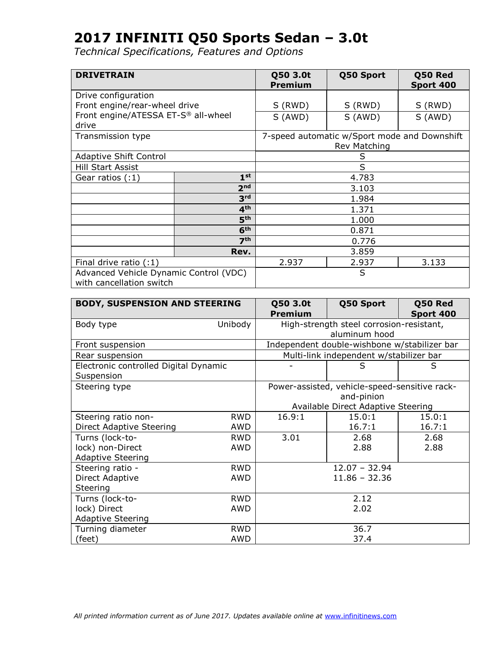| <b>DRIVETRAIN</b>                                                  |                 | Q50 3.0t<br><b>Premium</b> | Q50 Sport                                    | Q50 Red<br>Sport 400 |  |
|--------------------------------------------------------------------|-----------------|----------------------------|----------------------------------------------|----------------------|--|
| Drive configuration                                                |                 |                            |                                              |                      |  |
| Front engine/rear-wheel drive                                      |                 | S (RWD)                    | S (RWD)                                      | S (RWD)              |  |
| Front engine/ATESSA ET-S® all-wheel<br>drive                       |                 | S (AWD)                    | S (AWD)                                      | S (AWD)              |  |
| Transmission type                                                  |                 |                            | 7-speed automatic w/Sport mode and Downshift |                      |  |
|                                                                    |                 |                            | Rev Matching                                 |                      |  |
| Adaptive Shift Control                                             |                 |                            | S                                            |                      |  |
| <b>Hill Start Assist</b>                                           |                 | S                          |                                              |                      |  |
| Gear ratios $(:1)$                                                 | 1 <sup>st</sup> |                            | 4.783                                        |                      |  |
|                                                                    | 2 <sub>nd</sub> |                            | 3.103                                        |                      |  |
|                                                                    | 3 <sup>rd</sup> |                            | 1.984                                        |                      |  |
|                                                                    | 4 <sup>th</sup> | 1.371                      |                                              |                      |  |
|                                                                    | 5 <sup>th</sup> | 1.000                      |                                              |                      |  |
|                                                                    | 6 <sup>th</sup> | 0.871                      |                                              |                      |  |
| 7 <sup>th</sup>                                                    |                 | 0.776                      |                                              |                      |  |
|                                                                    | Rev.            |                            | 3.859                                        |                      |  |
| Final drive ratio $(1)$                                            |                 | 2.937                      | 2.937                                        | 3.133                |  |
| Advanced Vehicle Dynamic Control (VDC)<br>with cancellation switch |                 |                            | S                                            |                      |  |

| <b>BODY, SUSPENSION AND STEERING</b>                |            | Q50 3.0t<br><b>Premium</b> | Q50 Sport                                     | Q50 Red<br>Sport 400 |
|-----------------------------------------------------|------------|----------------------------|-----------------------------------------------|----------------------|
| Body type                                           | Unibody    |                            | High-strength steel corrosion-resistant,      |                      |
|                                                     |            |                            | aluminum hood                                 |                      |
| Front suspension                                    |            |                            | Independent double-wishbone w/stabilizer bar  |                      |
| Rear suspension                                     |            |                            | Multi-link independent w/stabilizer bar       |                      |
| Electronic controlled Digital Dynamic<br>Suspension |            |                            | S                                             | S                    |
| Steering type                                       |            |                            | Power-assisted, vehicle-speed-sensitive rack- |                      |
|                                                     |            |                            | and-pinion                                    |                      |
|                                                     |            |                            | Available Direct Adaptive Steering            |                      |
| Steering ratio non-                                 | <b>RWD</b> | 16.9:1                     | 15.0:1                                        | 15.0:1               |
| Direct Adaptive Steering                            | AWD        |                            | 16.7:1                                        | 16.7:1               |
| Turns (lock-to-                                     | <b>RWD</b> | 3.01                       | 2.68                                          | 2.68                 |
| lock) non-Direct                                    | AWD        |                            | 2.88                                          | 2.88                 |
| <b>Adaptive Steering</b>                            |            |                            |                                               |                      |
| Steering ratio -                                    | <b>RWD</b> |                            | $12.07 - 32.94$                               |                      |
| Direct Adaptive                                     | AWD        |                            | $11.86 - 32.36$                               |                      |
| Steering                                            |            |                            |                                               |                      |
| Turns (lock-to-                                     | <b>RWD</b> |                            | 2.12                                          |                      |
| lock) Direct                                        | <b>AWD</b> |                            | 2.02                                          |                      |
| <b>Adaptive Steering</b>                            |            |                            |                                               |                      |
| Turning diameter                                    | <b>RWD</b> |                            | 36.7                                          |                      |
| (feet)                                              | <b>AWD</b> |                            | 37.4                                          |                      |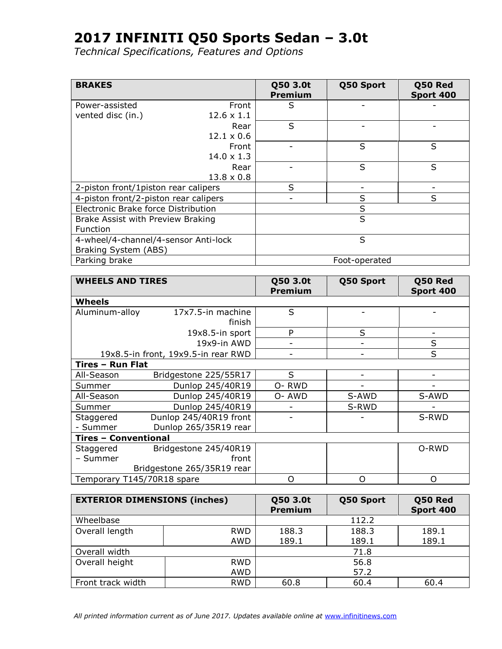*Technical Specifications, Features and Options*

| <b>BRAKES</b>                         |                   | Q50 3.0t<br><b>Premium</b> | Q50 Sport     | Q50 Red<br>Sport 400 |
|---------------------------------------|-------------------|----------------------------|---------------|----------------------|
| Power-assisted                        | Front             | S                          |               |                      |
| vented disc (in.)                     | $12.6 \times 1.1$ |                            |               |                      |
|                                       | Rear              | S                          |               |                      |
|                                       | $12.1 \times 0.6$ |                            |               |                      |
|                                       | Front             |                            | S             | S                    |
|                                       | $14.0 \times 1.3$ |                            |               |                      |
|                                       | Rear              |                            | S             | S                    |
|                                       | $13.8 \times 0.8$ |                            |               |                      |
| 2-piston front/1piston rear calipers  |                   | S                          |               |                      |
| 4-piston front/2-piston rear calipers |                   |                            | S             | S                    |
| Electronic Brake force Distribution   |                   |                            | S             |                      |
| Brake Assist with Preview Braking     |                   |                            | S             |                      |
| <b>Function</b>                       |                   |                            |               |                      |
| 4-wheel/4-channel/4-sensor Anti-lock  |                   |                            | S             |                      |
| Braking System (ABS)                  |                   |                            |               |                      |
| Parking brake                         |                   |                            | Foot-operated |                      |

| <b>WHEELS AND TIRES</b>     |                                     | Q50 3.0t<br><b>Premium</b> | Q50 Sport                    | Q50 Red<br><b>Sport 400</b> |
|-----------------------------|-------------------------------------|----------------------------|------------------------------|-----------------------------|
| Wheels                      |                                     |                            |                              |                             |
| Aluminum-alloy              | 17x7.5-in machine<br>finish         | S                          |                              |                             |
|                             | 19x8.5-in sport                     | P                          | S                            |                             |
|                             | 19x9-in AWD                         | $\overline{\phantom{a}}$   | $\qquad \qquad \blacksquare$ | S                           |
|                             | 19x8.5-in front, 19x9.5-in rear RWD | -                          | -                            | S                           |
| Tires - Run Flat            |                                     |                            |                              |                             |
| All-Season                  | Bridgestone 225/55R17               | S                          |                              |                             |
| Summer                      | Dunlop 245/40R19                    | O-RWD                      |                              |                             |
| All-Season                  | Dunlop 245/40R19                    | O-AWD                      | S-AWD                        | S-AWD                       |
| Summer                      | Dunlop 245/40R19                    |                            | S-RWD                        |                             |
| Staggered                   | Dunlop 245/40R19 front              |                            |                              | S-RWD                       |
| - Summer                    | Dunlop 265/35R19 rear               |                            |                              |                             |
| <b>Tires - Conventional</b> |                                     |                            |                              |                             |
| Staggered                   | Bridgestone 245/40R19               |                            |                              | O-RWD                       |
| - Summer                    | front                               |                            |                              |                             |
|                             | Bridgestone 265/35R19 rear          |                            |                              |                             |
| Temporary T145/70R18 spare  |                                     | O                          | Ω                            | $\Omega$                    |

| <b>EXTERIOR DIMENSIONS (inches)</b> |            | Q50 3.0t<br><b>Premium</b> | Q50 Sport | Q50 Red<br><b>Sport 400</b> |
|-------------------------------------|------------|----------------------------|-----------|-----------------------------|
| Wheelbase                           |            |                            | 112.2     |                             |
| Overall length                      | <b>RWD</b> | 188.3                      | 188.3     | 189.1                       |
|                                     | AWD        | 189.1                      | 189.1     | 189.1                       |
| Overall width                       |            |                            | 71.8      |                             |
| Overall height                      | <b>RWD</b> |                            | 56.8      |                             |
|                                     | AWD        |                            | 57.2      |                             |
| Front track width                   | <b>RWD</b> | 60.8                       | 60.4      | 60.4                        |

All printed information current as of June 2017. Updates available online at [www.infinitinews.com](http://www.infinitinews.com/)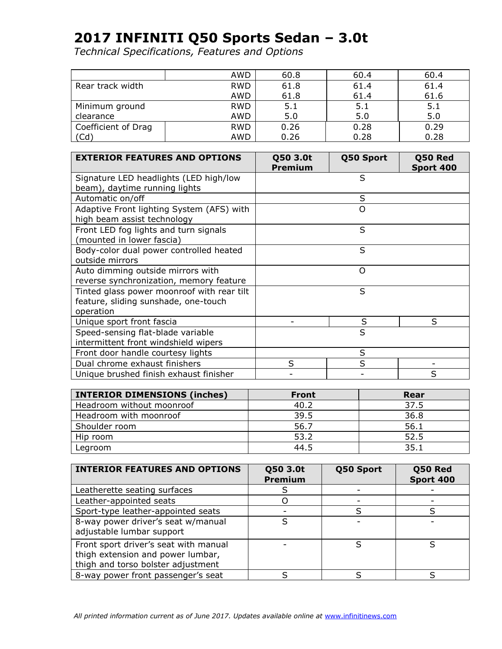|                     | AWD        | 60.8 | 60.4 | 60.4 |
|---------------------|------------|------|------|------|
| Rear track width    | <b>RWD</b> | 61.8 | 61.4 | 61.4 |
|                     | AWD        | 61.8 | 61.4 | 61.6 |
| Minimum ground      | <b>RWD</b> | 5.1  | 5.1  | 5.1  |
| clearance           | AWD        | 5.0  | 5.0  | 5.0  |
| Coefficient of Drag | <b>RWD</b> | 0.26 | 0.28 | 0.29 |
| (Cd`                | AWD        | 0.26 | 0.28 | 0.28 |

| <b>EXTERIOR FEATURES AND OPTIONS</b>                                                            | Q50 3.0t<br><b>Premium</b> | Q50 Sport | Q50 Red<br>Sport 400 |
|-------------------------------------------------------------------------------------------------|----------------------------|-----------|----------------------|
| Signature LED headlights (LED high/low<br>beam), daytime running lights                         |                            | S         |                      |
| Automatic on/off                                                                                |                            | S         |                      |
| Adaptive Front lighting System (AFS) with<br>high beam assist technology                        |                            | $\Omega$  |                      |
| Front LED fog lights and turn signals<br>(mounted in lower fascia)                              |                            | S         |                      |
| Body-color dual power controlled heated<br>outside mirrors                                      |                            | S         |                      |
| Auto dimming outside mirrors with<br>reverse synchronization, memory feature                    |                            | $\Omega$  |                      |
| Tinted glass power moonroof with rear tilt<br>feature, sliding sunshade, one-touch<br>operation |                            | S         |                      |
| Unique sport front fascia                                                                       |                            | S         | S                    |
| Speed-sensing flat-blade variable<br>intermittent front windshield wipers                       |                            | S         |                      |
| Front door handle courtesy lights                                                               |                            | S         |                      |
| Dual chrome exhaust finishers                                                                   | S                          | S         |                      |
| Unique brushed finish exhaust finisher                                                          |                            |           | S                    |

| <b>INTERIOR DIMENSIONS (inches)</b> | <b>Front</b> | Rear |
|-------------------------------------|--------------|------|
| Headroom without moonroof           | 40.2         | 37.5 |
| Headroom with moonroof              | 39.5         | 36.8 |
| Shoulder room                       | 56.7         | 56.1 |
| Hip room                            | 53.2         | 52.5 |
| Legroom                             | 44.5         | 35.1 |

| <b>INTERIOR FEATURES AND OPTIONS</b>                                                                             | Q50 3.0t<br><b>Premium</b> | Q50 Sport | Q50 Red<br>Sport 400 |
|------------------------------------------------------------------------------------------------------------------|----------------------------|-----------|----------------------|
| Leatherette seating surfaces                                                                                     |                            |           |                      |
| Leather-appointed seats                                                                                          |                            |           |                      |
| Sport-type leather-appointed seats                                                                               |                            |           |                      |
| 8-way power driver's seat w/manual<br>adjustable lumbar support                                                  |                            |           |                      |
| Front sport driver's seat with manual<br>thigh extension and power lumbar,<br>thigh and torso bolster adjustment |                            |           |                      |
| 8-way power front passenger's seat                                                                               |                            |           |                      |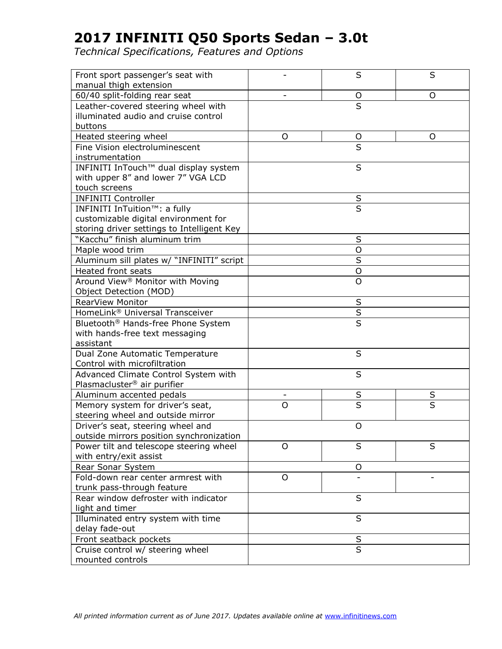| Front sport passenger's seat with<br>manual thigh extension |         | S                       | S |
|-------------------------------------------------------------|---------|-------------------------|---|
| 60/40 split-folding rear seat                               |         |                         | O |
| Leather-covered steering wheel with                         |         | $\circ$<br>S            |   |
| illuminated audio and cruise control                        |         |                         |   |
| buttons                                                     |         |                         |   |
| Heated steering wheel                                       | O       | O                       | O |
| Fine Vision electroluminescent                              |         | S                       |   |
| instrumentation                                             |         |                         |   |
| INFINITI InTouch™ dual display system                       |         | S                       |   |
| with upper 8" and lower 7" VGA LCD                          |         |                         |   |
| touch screens                                               |         |                         |   |
| <b>INFINITI Controller</b>                                  |         |                         |   |
| INFINITI InTuition™: a fully                                |         | $rac{S}{S}$             |   |
| customizable digital environment for                        |         |                         |   |
| storing driver settings to Intelligent Key                  |         |                         |   |
| "Kacchu" finish aluminum trim                               |         | $\sf S$                 |   |
| Maple wood trim                                             |         | $\overline{O}$          |   |
| Aluminum sill plates w/ "INFINITI" script                   |         | S                       |   |
| <b>Heated front seats</b>                                   |         | $\circ$                 |   |
| Around View <sup>®</sup> Monitor with Moving                |         | $\overline{O}$          |   |
| Object Detection (MOD)                                      |         |                         |   |
| RearView Monitor                                            |         | S                       |   |
| HomeLink® Universal Transceiver                             |         | $\sf S$                 |   |
| Bluetooth <sup>®</sup> Hands-free Phone System              |         | $\overline{\mathsf{s}}$ |   |
| with hands-free text messaging                              |         |                         |   |
| assistant                                                   |         |                         |   |
| Dual Zone Automatic Temperature                             |         | $\sf S$                 |   |
| Control with microfiltration                                |         |                         |   |
| Advanced Climate Control System with                        |         | S                       |   |
| Plasmacluster <sup>®</sup> air purifier                     |         |                         |   |
| Aluminum accented pedals                                    | -       | S                       | S |
| Memory system for driver's seat,                            | O       | S                       | S |
| steering wheel and outside mirror                           |         |                         |   |
| Driver's seat, steering wheel and                           |         | O                       |   |
| outside mirrors position synchronization                    |         |                         |   |
| Power tilt and telescope steering wheel                     | $\circ$ | S                       | S |
| with entry/exit assist                                      |         |                         |   |
| Rear Sonar System                                           |         | $\mathsf O$             |   |
| Fold-down rear center armrest with                          | $\circ$ |                         |   |
| trunk pass-through feature                                  |         |                         |   |
| Rear window defroster with indicator                        |         | S                       |   |
| light and timer                                             |         |                         |   |
| Illuminated entry system with time                          |         | S                       |   |
| delay fade-out                                              |         |                         |   |
| Front seatback pockets                                      | S       |                         |   |
| Cruise control w/ steering wheel                            |         | S                       |   |
| mounted controls                                            |         |                         |   |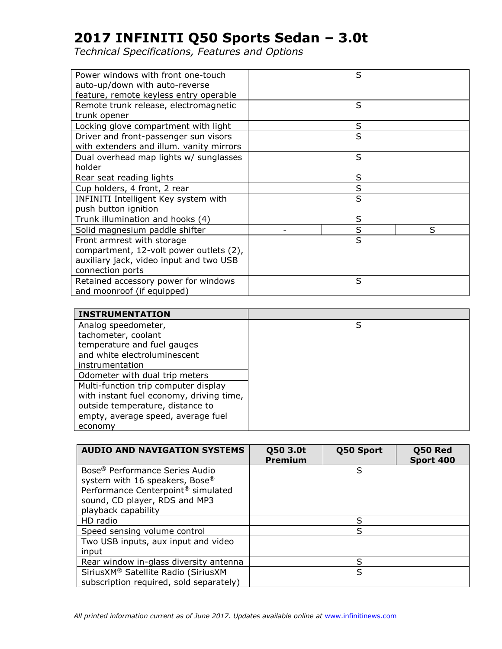*Technical Specifications, Features and Options*

| Power windows with front one-touch<br>auto-up/down with auto-reverse | S       |   |
|----------------------------------------------------------------------|---------|---|
| feature, remote keyless entry operable                               |         |   |
| Remote trunk release, electromagnetic                                | S       |   |
| trunk opener                                                         |         |   |
| Locking glove compartment with light                                 | S       |   |
| Driver and front-passenger sun visors                                | S       |   |
| with extenders and illum. vanity mirrors                             |         |   |
| Dual overhead map lights w/ sunglasses                               | S       |   |
| holder                                                               |         |   |
| Rear seat reading lights                                             | S       |   |
| Cup holders, 4 front, 2 rear                                         | $\sf S$ |   |
| INFINITI Intelligent Key system with                                 | S       |   |
| push button ignition                                                 |         |   |
| Trunk illumination and hooks (4)                                     | S       |   |
| Solid magnesium paddle shifter                                       | S       | S |
| Front armrest with storage                                           | S       |   |
| compartment, 12-volt power outlets (2),                              |         |   |
| auxiliary jack, video input and two USB                              |         |   |
| connection ports                                                     |         |   |
| Retained accessory power for windows                                 | S       |   |
| and moonroof (if equipped)                                           |         |   |

| <b>INSTRUMENTATION</b>                   |   |
|------------------------------------------|---|
| Analog speedometer,                      | S |
| tachometer, coolant                      |   |
| temperature and fuel gauges              |   |
| and white electroluminescent             |   |
| instrumentation                          |   |
| Odometer with dual trip meters           |   |
| Multi-function trip computer display     |   |
| with instant fuel economy, driving time, |   |
| outside temperature, distance to         |   |
| empty, average speed, average fuel       |   |
| economy                                  |   |

| <b>AUDIO AND NAVIGATION SYSTEMS</b>            | Q50 3.0t<br><b>Premium</b> | Q50 Sport | Q50 Red<br>Sport 400 |
|------------------------------------------------|----------------------------|-----------|----------------------|
| Bose <sup>®</sup> Performance Series Audio     |                            | S         |                      |
| system with 16 speakers, Bose®                 |                            |           |                      |
| Performance Centerpoint <sup>®</sup> simulated |                            |           |                      |
| sound, CD player, RDS and MP3                  |                            |           |                      |
| playback capability                            |                            |           |                      |
| HD radio                                       |                            | S         |                      |
| Speed sensing volume control                   |                            | S         |                      |
| Two USB inputs, aux input and video            |                            |           |                      |
| input                                          |                            |           |                      |
| Rear window in-glass diversity antenna         |                            | S         |                      |
| SiriusXM® Satellite Radio (SiriusXM            |                            | S         |                      |
| subscription required, sold separately)        |                            |           |                      |

All printed information current as of June 2017. Updates available online at [www.infinitinews.com](http://www.infinitinews.com/)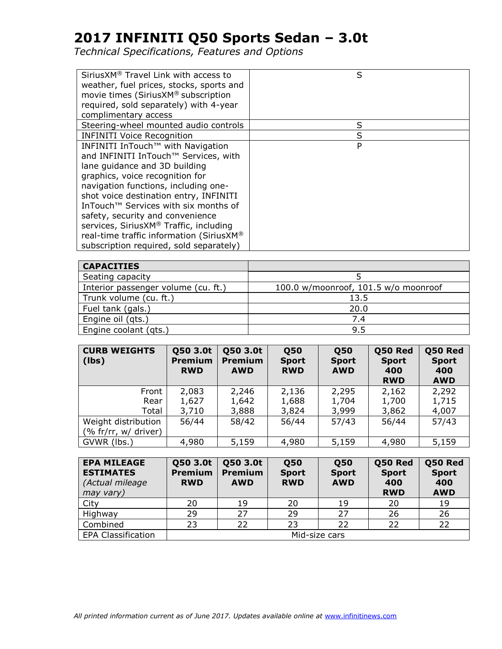| SiriusXM <sup>®</sup> Travel Link with access to<br>weather, fuel prices, stocks, sports and<br>movie times (SiriusXM® subscription<br>required, sold separately) with 4-year<br>complimentary access                                                                                                                                                                                                                                                    | S |
|----------------------------------------------------------------------------------------------------------------------------------------------------------------------------------------------------------------------------------------------------------------------------------------------------------------------------------------------------------------------------------------------------------------------------------------------------------|---|
| Steering-wheel mounted audio controls                                                                                                                                                                                                                                                                                                                                                                                                                    | S |
| <b>INFINITI Voice Recognition</b>                                                                                                                                                                                                                                                                                                                                                                                                                        | S |
| INFINITI InTouch™ with Navigation<br>and INFINITI InTouch™ Services, with<br>lane guidance and 3D building<br>graphics, voice recognition for<br>navigation functions, including one-<br>shot voice destination entry, INFINITI<br>InTouch <sup>™</sup> Services with six months of<br>safety, security and convenience<br>services, SiriusXM® Traffic, including<br>real-time traffic information (SiriusXM®<br>subscription required, sold separately) | P |

| <b>CAPACITIES</b>                   |                                      |
|-------------------------------------|--------------------------------------|
| Seating capacity                    |                                      |
| Interior passenger volume (cu. ft.) | 100.0 w/moonroof, 101.5 w/o moonroof |
| Trunk volume (cu. ft.)              | 13.5                                 |
| Fuel tank (gals.)                   | 20.0                                 |
| Engine oil (qts.)                   | 7.4                                  |
| Engine coolant (qts.)               | 9.5                                  |

| <b>CURB WEIGHTS</b><br>(lbs)                | Q50 3.0t<br><b>Premium</b><br><b>RWD</b> | Q50 3.0t<br><b>Premium</b><br><b>AWD</b> | <b>Q50</b><br><b>Sport</b><br><b>RWD</b> | <b>Q50</b><br><b>Sport</b><br><b>AWD</b> | Q50 Red<br><b>Sport</b><br>400<br><b>RWD</b> | Q50 Red<br><b>Sport</b><br>400<br><b>AWD</b> |
|---------------------------------------------|------------------------------------------|------------------------------------------|------------------------------------------|------------------------------------------|----------------------------------------------|----------------------------------------------|
| Front                                       | 2,083                                    | 2,246                                    | 2,136                                    | 2,295                                    | 2,162                                        | 2,292                                        |
| Rear                                        | 1,627                                    | 1,642                                    | 1,688                                    | 1,704                                    | 1,700                                        | 1,715                                        |
| Total                                       | 3,710                                    | 3,888                                    | 3,824                                    | 3,999                                    | 3,862                                        | 4,007                                        |
| Weight distribution<br>(% fr/rr, w/ driver) | 56/44                                    | 58/42                                    | 56/44                                    | 57/43                                    | 56/44                                        | 57/43                                        |
| GVWR (lbs.)                                 | 4,980                                    | 5,159                                    | 4,980                                    | 5,159                                    | 4,980                                        | 5,159                                        |

| <b>EPA MILEAGE</b><br><b>ESTIMATES</b><br>(Actual mileage<br>may vary) | Q50 3.0t<br><b>Premium</b><br><b>RWD</b> | Q50 3.0t<br><b>Premium</b><br><b>AWD</b> | <b>Q50</b><br><b>Sport</b><br><b>RWD</b> | <b>050</b><br><b>Sport</b><br><b>AWD</b> | Q50 Red<br><b>Sport</b><br>400<br><b>RWD</b> | Q50 Red<br><b>Sport</b><br>400<br><b>AWD</b> |
|------------------------------------------------------------------------|------------------------------------------|------------------------------------------|------------------------------------------|------------------------------------------|----------------------------------------------|----------------------------------------------|
| City                                                                   | 20                                       | 19                                       | 20                                       | 19                                       | 20                                           | 19                                           |
| Highway                                                                | 29                                       | 27                                       | 29                                       | 27                                       | 26                                           | 26                                           |
| Combined                                                               | 23                                       | 22                                       | 23                                       | 22                                       | 22                                           | 22                                           |
| <b>EPA Classification</b>                                              | Mid-size cars                            |                                          |                                          |                                          |                                              |                                              |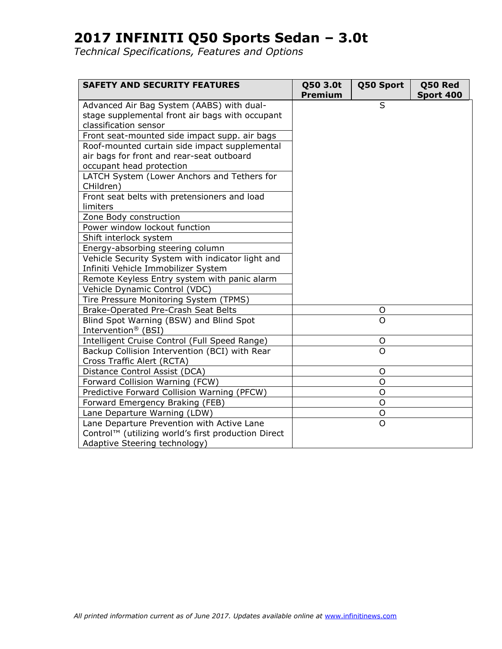| <b>SAFETY AND SECURITY FEATURES</b>                 | Q50 3.0t<br>Premium | Q50 Sport      | Q50 Red<br>Sport 400 |
|-----------------------------------------------------|---------------------|----------------|----------------------|
| Advanced Air Bag System (AABS) with dual-           |                     | S              |                      |
| stage supplemental front air bags with occupant     |                     |                |                      |
| classification sensor                               |                     |                |                      |
| Front seat-mounted side impact supp. air bags       |                     |                |                      |
| Roof-mounted curtain side impact supplemental       |                     |                |                      |
| air bags for front and rear-seat outboard           |                     |                |                      |
| occupant head protection                            |                     |                |                      |
| LATCH System (Lower Anchors and Tethers for         |                     |                |                      |
| CHildren)                                           |                     |                |                      |
| Front seat belts with pretensioners and load        |                     |                |                      |
| limiters                                            |                     |                |                      |
| Zone Body construction                              |                     |                |                      |
| Power window lockout function                       |                     |                |                      |
| Shift interlock system                              |                     |                |                      |
| Energy-absorbing steering column                    |                     |                |                      |
| Vehicle Security System with indicator light and    |                     |                |                      |
| Infiniti Vehicle Immobilizer System                 |                     |                |                      |
| Remote Keyless Entry system with panic alarm        |                     |                |                      |
| Vehicle Dynamic Control (VDC)                       |                     |                |                      |
| Tire Pressure Monitoring System (TPMS)              |                     |                |                      |
| Brake-Operated Pre-Crash Seat Belts                 |                     | O              |                      |
| Blind Spot Warning (BSW) and Blind Spot             |                     | O              |                      |
| Intervention® (BSI)                                 |                     |                |                      |
| Intelligent Cruise Control (Full Speed Range)       |                     | O              |                      |
| Backup Collision Intervention (BCI) with Rear       |                     | $\Omega$       |                      |
| Cross Traffic Alert (RCTA)                          |                     |                |                      |
| Distance Control Assist (DCA)                       |                     | O              |                      |
| Forward Collision Warning (FCW)                     |                     | O              |                      |
| Predictive Forward Collision Warning (PFCW)         |                     | O              |                      |
| Forward Emergency Braking (FEB)                     |                     | O              |                      |
| Lane Departure Warning (LDW)                        |                     | O              |                      |
| Lane Departure Prevention with Active Lane          |                     | $\overline{O}$ |                      |
| Control™ (utilizing world's first production Direct |                     |                |                      |
| Adaptive Steering technology)                       |                     |                |                      |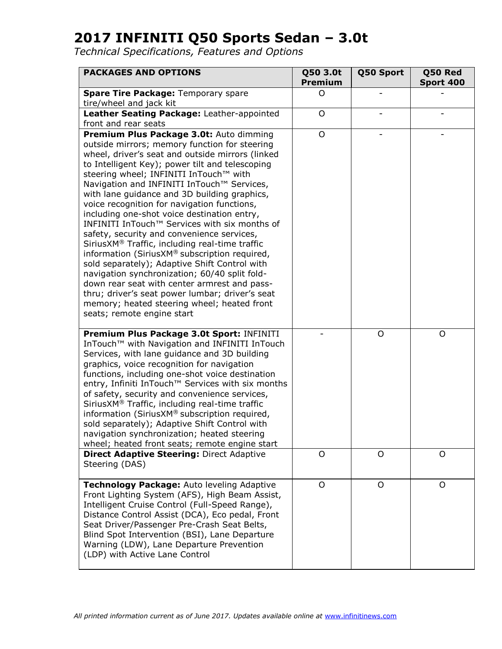| <b>PACKAGES AND OPTIONS</b>                                                                                                                                                                                                                                                                                                                                                                                                                                                                                                                                                                                                                                                                                                                                                                                                                                                                                               | Q50 3.0t<br><b>Premium</b> | Q50 Sport    | Q50 Red<br>Sport 400 |
|---------------------------------------------------------------------------------------------------------------------------------------------------------------------------------------------------------------------------------------------------------------------------------------------------------------------------------------------------------------------------------------------------------------------------------------------------------------------------------------------------------------------------------------------------------------------------------------------------------------------------------------------------------------------------------------------------------------------------------------------------------------------------------------------------------------------------------------------------------------------------------------------------------------------------|----------------------------|--------------|----------------------|
| Spare Tire Package: Temporary spare<br>tire/wheel and jack kit                                                                                                                                                                                                                                                                                                                                                                                                                                                                                                                                                                                                                                                                                                                                                                                                                                                            | O                          |              |                      |
| Leather Seating Package: Leather-appointed<br>front and rear seats                                                                                                                                                                                                                                                                                                                                                                                                                                                                                                                                                                                                                                                                                                                                                                                                                                                        | $\circ$                    |              |                      |
| Premium Plus Package 3.0t: Auto dimming<br>outside mirrors; memory function for steering<br>wheel, driver's seat and outside mirrors (linked<br>to Intelligent Key); power tilt and telescoping<br>steering wheel; INFINITI InTouch™ with<br>Navigation and INFINITI InTouch™ Services,<br>with lane guidance and 3D building graphics,<br>voice recognition for navigation functions,<br>including one-shot voice destination entry,<br>INFINITI InTouch™ Services with six months of<br>safety, security and convenience services,<br>SiriusXM® Traffic, including real-time traffic<br>information (SiriusXM® subscription required,<br>sold separately); Adaptive Shift Control with<br>navigation synchronization; 60/40 split fold-<br>down rear seat with center armrest and pass-<br>thru; driver's seat power lumbar; driver's seat<br>memory; heated steering wheel; heated front<br>seats; remote engine start | O                          |              |                      |
| Premium Plus Package 3.0t Sport: INFINITI<br>InTouch <sup>™</sup> with Navigation and INFINITI InTouch<br>Services, with lane guidance and 3D building<br>graphics, voice recognition for navigation<br>functions, including one-shot voice destination<br>entry, Infiniti InTouch™ Services with six months<br>of safety, security and convenience services,<br>SiriusXM® Traffic, including real-time traffic<br>information (SiriusXM® subscription required,<br>sold separately); Adaptive Shift Control with<br>navigation synchronization; heated steering<br>wheel; heated front seats; remote engine start                                                                                                                                                                                                                                                                                                        |                            | O            | O                    |
| <b>Direct Adaptive Steering: Direct Adaptive</b><br>Steering (DAS)                                                                                                                                                                                                                                                                                                                                                                                                                                                                                                                                                                                                                                                                                                                                                                                                                                                        | $\circ$                    | $\mathsf{O}$ | $\circ$              |
| Technology Package: Auto leveling Adaptive<br>Front Lighting System (AFS), High Beam Assist,<br>Intelligent Cruise Control (Full-Speed Range),<br>Distance Control Assist (DCA), Eco pedal, Front<br>Seat Driver/Passenger Pre-Crash Seat Belts,<br>Blind Spot Intervention (BSI), Lane Departure<br>Warning (LDW), Lane Departure Prevention<br>(LDP) with Active Lane Control                                                                                                                                                                                                                                                                                                                                                                                                                                                                                                                                           | $\mathsf{O}$               | $\mathsf{O}$ | O                    |